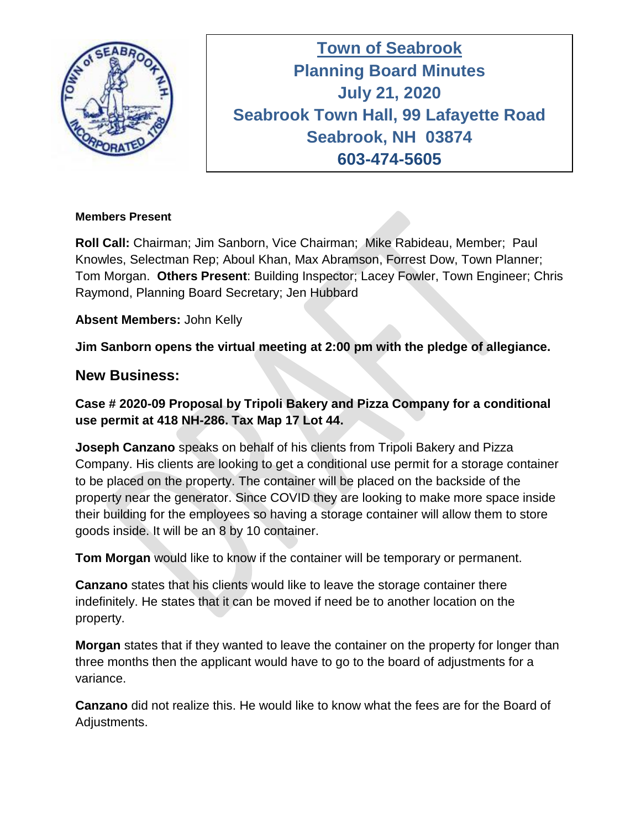

**Town of Seabrook Planning Board Minutes Tuesday April 16, 2019 July 21, 2020 Seabrook Town Hall, 99 Lafayette Road Seabrook, NH 03874 603-474-5605**

#### **Members Present**

**Roll Call:** Chairman; Jim Sanborn, Vice Chairman; Mike Rabideau, Member; Paul Knowles, Selectman Rep; Aboul Khan, Max Abramson, Forrest Dow, Town Planner; Tom Morgan. **Others Present**: Building Inspector; Lacey Fowler, Town Engineer; Chris Raymond, Planning Board Secretary; Jen Hubbard

### **Absent Members:** John Kelly

**Jim Sanborn opens the virtual meeting at 2:00 pm with the pledge of allegiance.** 

### **New Business:**

**Case # 2020-09 Proposal by Tripoli Bakery and Pizza Company for a conditional use permit at 418 NH-286. Tax Map 17 Lot 44.**

**Joseph Canzano** speaks on behalf of his clients from Tripoli Bakery and Pizza Company. His clients are looking to get a conditional use permit for a storage container to be placed on the property. The container will be placed on the backside of the property near the generator. Since COVID they are looking to make more space inside their building for the employees so having a storage container will allow them to store goods inside. It will be an 8 by 10 container.

**Tom Morgan** would like to know if the container will be temporary or permanent.

**Canzano** states that his clients would like to leave the storage container there indefinitely. He states that it can be moved if need be to another location on the property.

**Morgan** states that if they wanted to leave the container on the property for longer than three months then the applicant would have to go to the board of adjustments for a variance.

**Canzano** did not realize this. He would like to know what the fees are for the Board of Adjustments.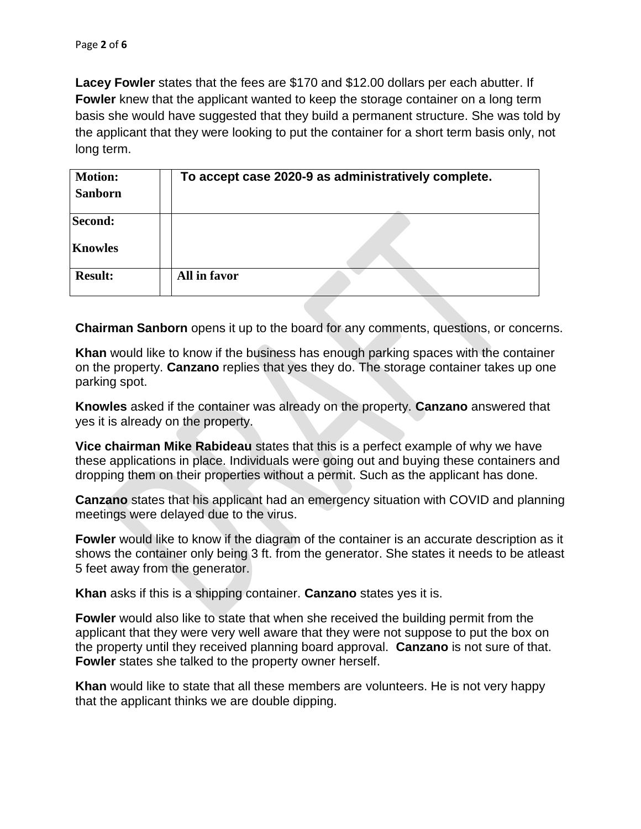**Lacey Fowler** states that the fees are \$170 and \$12.00 dollars per each abutter. If **Fowler** knew that the applicant wanted to keep the storage container on a long term basis she would have suggested that they build a permanent structure. She was told by the applicant that they were looking to put the container for a short term basis only, not long term.

| <b>Motion:</b> | To accept case 2020-9 as administratively complete. |  |
|----------------|-----------------------------------------------------|--|
| <b>Sanborn</b> |                                                     |  |
| Second:        |                                                     |  |
| <b>Knowles</b> |                                                     |  |
| <b>Result:</b> | All in favor                                        |  |

**Chairman Sanborn** opens it up to the board for any comments, questions, or concerns.

**Khan** would like to know if the business has enough parking spaces with the container on the property. **Canzano** replies that yes they do. The storage container takes up one parking spot.

**Knowles** asked if the container was already on the property. **Canzano** answered that yes it is already on the property.

**Vice chairman Mike Rabideau** states that this is a perfect example of why we have these applications in place. Individuals were going out and buying these containers and dropping them on their properties without a permit. Such as the applicant has done.

**Canzano** states that his applicant had an emergency situation with COVID and planning meetings were delayed due to the virus.

**Fowler** would like to know if the diagram of the container is an accurate description as it shows the container only being 3 ft. from the generator. She states it needs to be atleast 5 feet away from the generator.

**Khan** asks if this is a shipping container. **Canzano** states yes it is.

**Fowler** would also like to state that when she received the building permit from the applicant that they were very well aware that they were not suppose to put the box on the property until they received planning board approval. **Canzano** is not sure of that. **Fowler** states she talked to the property owner herself.

**Khan** would like to state that all these members are volunteers. He is not very happy that the applicant thinks we are double dipping.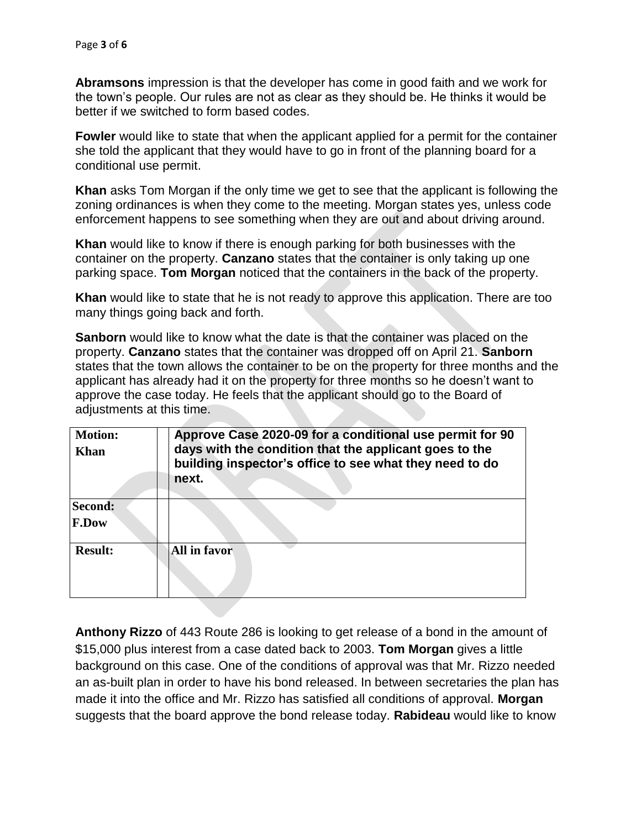**Abramsons** impression is that the developer has come in good faith and we work for the town's people. Our rules are not as clear as they should be. He thinks it would be better if we switched to form based codes.

**Fowler** would like to state that when the applicant applied for a permit for the container she told the applicant that they would have to go in front of the planning board for a conditional use permit.

**Khan** asks Tom Morgan if the only time we get to see that the applicant is following the zoning ordinances is when they come to the meeting. Morgan states yes, unless code enforcement happens to see something when they are out and about driving around.

**Khan** would like to know if there is enough parking for both businesses with the container on the property. **Canzano** states that the container is only taking up one parking space. **Tom Morgan** noticed that the containers in the back of the property.

**Khan** would like to state that he is not ready to approve this application. There are too many things going back and forth.

**Sanborn** would like to know what the date is that the container was placed on the property. **Canzano** states that the container was dropped off on April 21. **Sanborn**  states that the town allows the container to be on the property for three months and the applicant has already had it on the property for three months so he doesn't want to approve the case today. He feels that the applicant should go to the Board of adjustments at this time.

| <b>Motion:</b><br>Khan  | Approve Case 2020-09 for a conditional use permit for 90<br>days with the condition that the applicant goes to the<br>building inspector's office to see what they need to do<br>next. |
|-------------------------|----------------------------------------------------------------------------------------------------------------------------------------------------------------------------------------|
| Second:<br><b>F.Dow</b> |                                                                                                                                                                                        |
| <b>Result:</b>          | All in favor                                                                                                                                                                           |

**Anthony Rizzo** of 443 Route 286 is looking to get release of a bond in the amount of \$15,000 plus interest from a case dated back to 2003. **Tom Morgan** gives a little background on this case. One of the conditions of approval was that Mr. Rizzo needed an as-built plan in order to have his bond released. In between secretaries the plan has made it into the office and Mr. Rizzo has satisfied all conditions of approval. **Morgan** suggests that the board approve the bond release today. **Rabideau** would like to know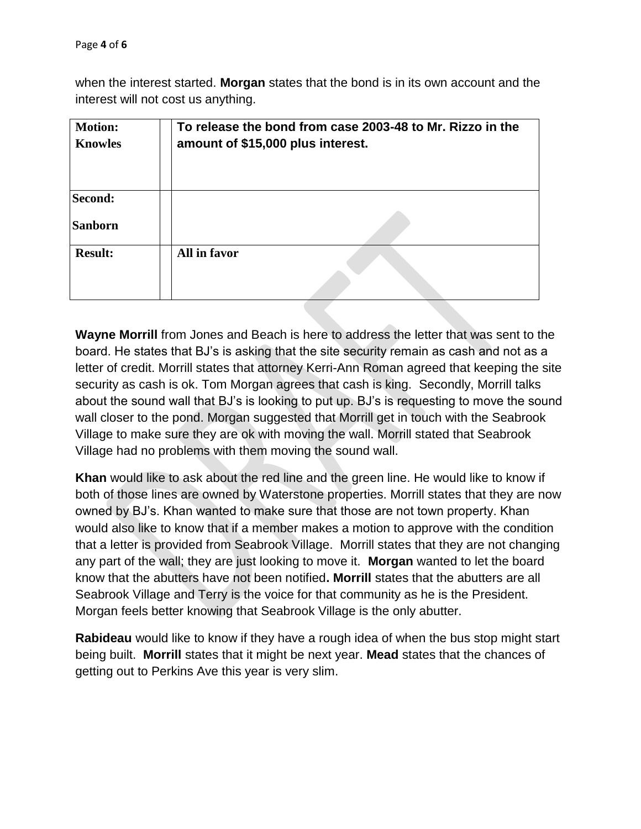when the interest started. **Morgan** states that the bond is in its own account and the interest will not cost us anything.

| <b>Motion:</b><br><b>Knowles</b> | To release the bond from case 2003-48 to Mr. Rizzo in the<br>amount of \$15,000 plus interest. |
|----------------------------------|------------------------------------------------------------------------------------------------|
| Second:<br><b>Sanborn</b>        |                                                                                                |
| <b>Result:</b>                   | All in favor                                                                                   |

**Wayne Morrill** from Jones and Beach is here to address the letter that was sent to the board. He states that BJ's is asking that the site security remain as cash and not as a letter of credit. Morrill states that attorney Kerri-Ann Roman agreed that keeping the site security as cash is ok. Tom Morgan agrees that cash is king. Secondly, Morrill talks about the sound wall that BJ's is looking to put up. BJ's is requesting to move the sound wall closer to the pond. Morgan suggested that Morrill get in touch with the Seabrook Village to make sure they are ok with moving the wall. Morrill stated that Seabrook Village had no problems with them moving the sound wall.

**Khan** would like to ask about the red line and the green line. He would like to know if both of those lines are owned by Waterstone properties. Morrill states that they are now owned by BJ's. Khan wanted to make sure that those are not town property. Khan would also like to know that if a member makes a motion to approve with the condition that a letter is provided from Seabrook Village. Morrill states that they are not changing any part of the wall; they are just looking to move it. **Morgan** wanted to let the board know that the abutters have not been notified**. Morrill** states that the abutters are all Seabrook Village and Terry is the voice for that community as he is the President. Morgan feels better knowing that Seabrook Village is the only abutter.

**Rabideau** would like to know if they have a rough idea of when the bus stop might start being built. **Morrill** states that it might be next year. **Mead** states that the chances of getting out to Perkins Ave this year is very slim.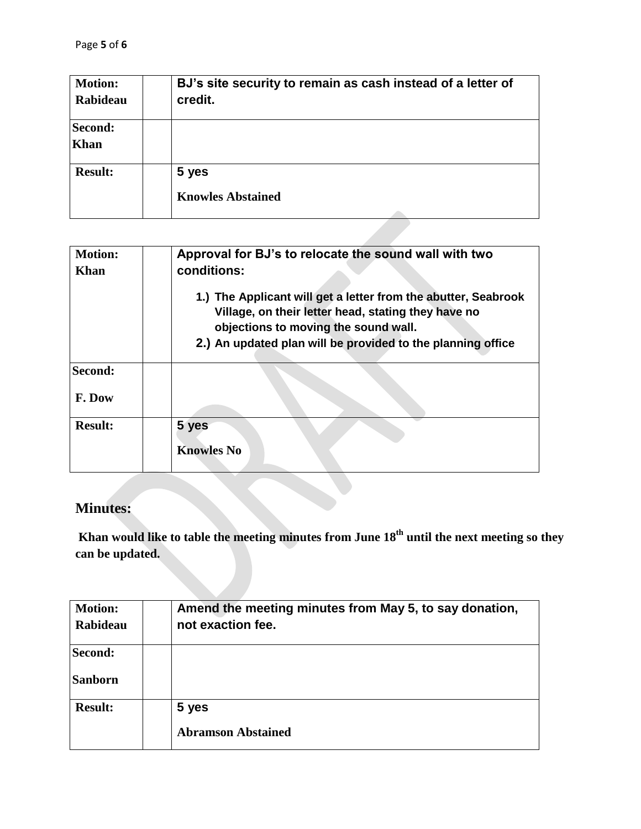| <b>Motion:</b><br>Rabideau | BJ's site security to remain as cash instead of a letter of<br>credit. |
|----------------------------|------------------------------------------------------------------------|
|                            |                                                                        |
| Second:                    |                                                                        |
| <b>Khan</b>                |                                                                        |
| <b>Result:</b>             | 5 yes                                                                  |
|                            | <b>Knowles Abstained</b>                                               |
|                            |                                                                        |

| <b>Motion:</b><br><b>Khan</b> | Approval for BJ's to relocate the sound wall with two<br>conditions:                                                                                                                                                         |  |  |
|-------------------------------|------------------------------------------------------------------------------------------------------------------------------------------------------------------------------------------------------------------------------|--|--|
|                               | 1.) The Applicant will get a letter from the abutter, Seabrook<br>Village, on their letter head, stating they have no<br>objections to moving the sound wall.<br>2.) An updated plan will be provided to the planning office |  |  |
| Second:                       |                                                                                                                                                                                                                              |  |  |
| F. Dow                        |                                                                                                                                                                                                                              |  |  |
| <b>Result:</b>                | 5 yes<br><b>Knowles No</b>                                                                                                                                                                                                   |  |  |

## **Minutes:**

**Khan would like to table the meeting minutes from June 18 th until the next meeting so they can be updated.** 

| <b>Motion:</b><br><b>Rabideau</b> | Amend the meeting minutes from May 5, to say donation,<br>not exaction fee. |
|-----------------------------------|-----------------------------------------------------------------------------|
| Second:<br><b>Sanborn</b>         |                                                                             |
| <b>Result:</b>                    | 5 yes<br><b>Abramson Abstained</b>                                          |